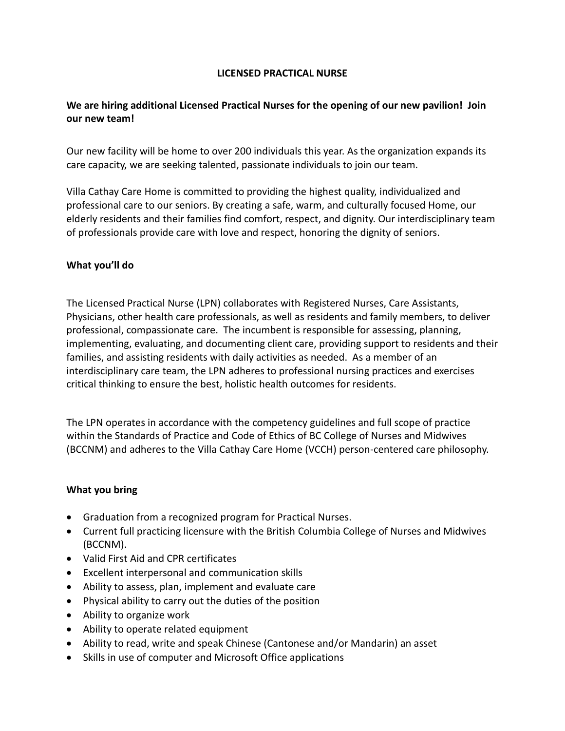### **LICENSED PRACTICAL NURSE**

# **We are hiring additional Licensed Practical Nurses for the opening of our new pavilion! Join our new team!**

Our new facility will be home to over 200 individuals this year. As the organization expands its care capacity, we are seeking talented, passionate individuals to join our team.

Villa Cathay Care Home is committed to providing the highest quality, individualized and professional care to our seniors. By creating a safe, warm, and culturally focused Home, our elderly residents and their families find comfort, respect, and dignity. Our interdisciplinary team of professionals provide care with love and respect, honoring the dignity of seniors.

### **What you'll do**

The Licensed Practical Nurse (LPN) collaborates with Registered Nurses, Care Assistants, Physicians, other health care professionals, as well as residents and family members, to deliver professional, compassionate care. The incumbent is responsible for assessing, planning, implementing, evaluating, and documenting client care, providing support to residents and their families, and assisting residents with daily activities as needed. As a member of an interdisciplinary care team, the LPN adheres to professional nursing practices and exercises critical thinking to ensure the best, holistic health outcomes for residents.

The LPN operates in accordance with the competency guidelines and full scope of practice within the Standards of Practice and Code of Ethics of BC College of Nurses and Midwives (BCCNM) and adheres to the Villa Cathay Care Home (VCCH) person-centered care philosophy.

# **What you bring**

- Graduation from a recognized program for Practical Nurses.
- Current full practicing licensure with the British Columbia College of Nurses and Midwives (BCCNM).
- Valid First Aid and CPR certificates
- Excellent interpersonal and communication skills
- Ability to assess, plan, implement and evaluate care
- Physical ability to carry out the duties of the position
- Ability to organize work
- Ability to operate related equipment
- Ability to read, write and speak Chinese (Cantonese and/or Mandarin) an asset
- Skills in use of computer and Microsoft Office applications